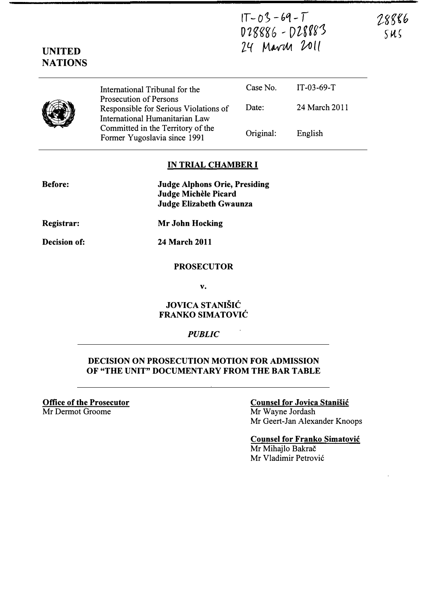$IT - 03 - 69 - T$ 028886 - DZ8883 24 Mavill 2011

|  | International Tribunal for the                                                                           | Case No.  | IT-03-69-T    |
|--|----------------------------------------------------------------------------------------------------------|-----------|---------------|
|  | <b>Prosecution of Persons</b><br>Responsible for Serious Violations of<br>International Humanitarian Law | Date:     | 24 March 2011 |
|  | Committed in the Territory of the<br>Former Yugoslavia since 1991                                        | Original: | English       |

#### IN TRIAL CHAMBER I

| <b>Judge Alphons Orie, Presiding</b> |
|--------------------------------------|
| Judge Michèle Picard                 |
| Judge Elizabeth Gwaunza              |

Registrar:

Mr John Hocking

Decision of:

Before:

UNITED **NATIONS** 

24 March 2011

#### PROSECUTOR

v.

### JOVICA STANISIC FRANKO SIMATOVIC

#### PUBLIC

### DECISION ON PROSECUTION MOTION FOR ADMISSION OF "THE UNIT" DOCUMENTARY FROM THE BAR TABLE

Office of the Prosecutor Mr Dermot Groome

#### Counsel for Jovica Stanisic Mr Wayne lordash

Mr Geert-lan Alexander Knoops

Counsel for Franko Simatovic Mr Mihajlo Bakrač Mr Vladimir Petrovi6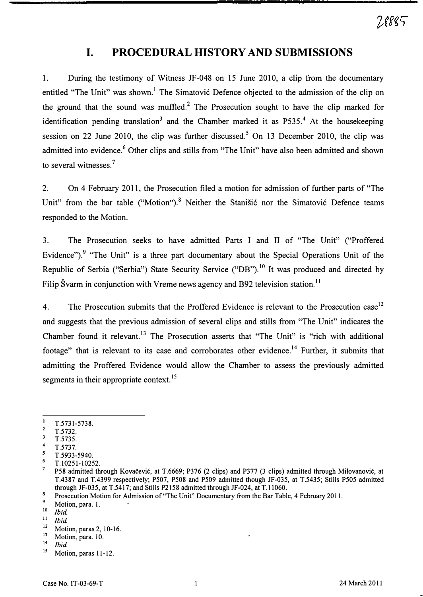# I. PROCEDURAL HISTORY AND SUBMISSIONS

1. During the testimony of Witness JF-048 on 15 June 2010, a clip from the documentary entitled "The Unit" was shown.<sup>1</sup> The Simatović Defence objected to the admission of the clip on the ground that the sound was muffled? The Prosecution sought to have the clip marked for identification pending translation<sup>3</sup> and the Chamber marked it as  $P535<sup>4</sup>$ . At the housekeeping session on 22 June 2010, the clip was further discussed.<sup>5</sup> On 13 December 2010, the clip was admitted into evidence.<sup>6</sup> Other clips and stills from "The Unit" have also been admitted and shown to several witnesses.<sup>7</sup>

2. On 4 February 2011, the Prosecution filed a motion for admission of further parts of "The Unit" from the bar table ("Motion").<sup>8</sup> Neither the Stanišić nor the Simatović Defence teams responded to the Motion.

3. The Prosecution seeks to have admitted Parts I and 11 of "The Unit" ("Proffered Evidence").<sup>9</sup> "The Unit" is a three part documentary about the Special Operations Unit of the Republic of Serbia ("Serbia") State Security Service ("DB").<sup>10</sup> It was produced and directed by Filip Švarm in conjunction with Vreme news agency and B92 television station.<sup>11</sup>

4. The Prosecution submits that the Proffered Evidence is relevant to the Prosecution case<sup>12</sup> and suggests that the previous admission of several clips and stills from "The Unit" indicates the Chamber found it relevant.<sup>13</sup> The Prosecution asserts that "The Unit" is "rich with additional footage" that is relevant to its case and corroborates other evidence.<sup>14</sup> Further, it submits that admitting the Proffered Evidence would allow the Chamber to assess the previously admitted segments in their appropriate context.<sup>15</sup>

 $\mathbf{l}$ T.S731-S738.

 $\frac{2}{3}$  T.5732.

T.S73S.

 $\frac{4}{5}$  T.5737.

T.S933-5940.

 $\frac{6}{7}$  T.10251-10252.

<sup>7</sup>PS8 admitted through Kovacevic, at T.6669; P376 (2 clips) and P377 (3 clips) admitted through MiIovanovic, at T.4387 and T.4399 respectively; PS07, PS08 and PS09 admitted though JF-03S, at T.543S; Stills PSOS admitted through JF-03S, at T.S417; and Stills P2158 admitted through JF-024, at T.II060.

 $\bf{8}$ Prosecution Motion for Admission of "The Unit" Documentary from the Bar Table, 4 February 2011.

 $\frac{9}{10}$  Motion, para. 1.

 $\frac{10}{11}$  Ibid.

 $\frac{11}{12}$  Ibid.

 $12$  Motion, paras 2, 10-16.

 $\frac{13}{14}$  Motion, para. 10.

 $\frac{14}{15}$  Ibid.

Motion, paras 11-12.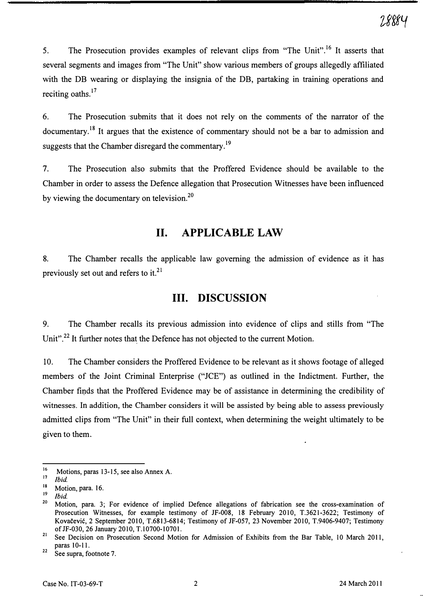5. The Prosecution provides examples of relevant clips from "The Unit".<sup>16</sup> It asserts that several segments and images from "The Unit" show various members of groups allegedly affiliated with the DB wearing or displaying the insignia of the DB, partaking in training operations and reciting oaths.<sup>17</sup>

6. The Prosecution submits that it does not rely on the comments of the narrator of the documentary.<sup>18</sup> It argues that the existence of commentary should not be a bar to admission and suggests that the Chamber disregard the commentary.<sup>19</sup>

7. The Prosecution also submits that the Proffered Evidence should be available to the Chamber in order to assess the Defence allegation that Prosecution Witnesses have been influenced by viewing the documentary on television.<sup>20</sup>

## 11. APPLICABLE LAW

8. The Chamber recalls the applicable law governing the admission of evidence as it has previously set out and refers to it. $^{21}$ 

## Ill. DISCUSSION

9. The Chamber recalls its previous admission into evidence of clips and stills from "The Unit".<sup>22</sup> It further notes that the Defence has not objected to the current Motion.

10. The Chamber considers the Proffered Evidence to be relevant as it shows footage of alleged members of the Joint Criminal Enterprise ("JCE") as outlined in the Indictment. Further, the Chamber finds that the Proffered Evidence may be of assistance in determining the credibility of witnesses. In addition, the Chamber considers it will be assisted by being able to assess previously admitted clips from "The Unit" in their full context, when determining the weight ultimately to be given to them.

<sup>1</sup> <sup>16</sup> Motions, paras 13-15, see also Annex A.

 $17$  *Ibid.* 

 $^{18}$  Motion, para. 16.

 $\frac{19}{20}$  Ibid.

<sup>20</sup>Motion, para. 3; For evidence of implied Defence allegations of fabrication see the cross-examination of Prosecution Witnesses, for example testimony of JF-008, 18 February 2010, T.3621-3622; Testimony of Kovacevic,2 September 2010, T.6S13-6S14; Testimony of JF-057, 23 November 2010, T.9406-9407; Testimony of JF-030, 26 January 2010, T.10700-10701.

<sup>&</sup>lt;sup>21</sup> See Decision on Prosecution Second Motion for Admission of Exhibits from the Bar Table, 10 March 2011, paras 10-11.

 $22$  See supra, footnote 7.